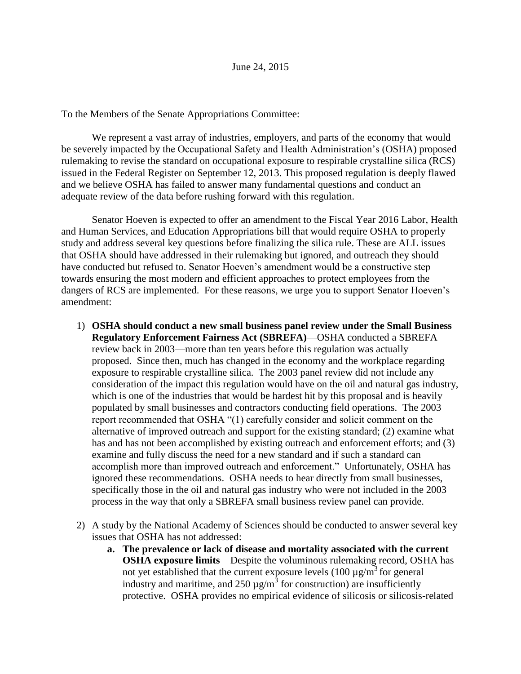To the Members of the Senate Appropriations Committee:

We represent a vast array of industries, employers, and parts of the economy that would be severely impacted by the Occupational Safety and Health Administration's (OSHA) proposed rulemaking to revise the standard on occupational exposure to respirable crystalline silica (RCS) issued in the Federal Register on September 12, 2013. This proposed regulation is deeply flawed and we believe OSHA has failed to answer many fundamental questions and conduct an adequate review of the data before rushing forward with this regulation.

Senator Hoeven is expected to offer an amendment to the Fiscal Year 2016 Labor, Health and Human Services, and Education Appropriations bill that would require OSHA to properly study and address several key questions before finalizing the silica rule. These are ALL issues that OSHA should have addressed in their rulemaking but ignored, and outreach they should have conducted but refused to. Senator Hoeven's amendment would be a constructive step towards ensuring the most modern and efficient approaches to protect employees from the dangers of RCS are implemented. For these reasons, we urge you to support Senator Hoeven's amendment:

- 1) **OSHA should conduct a new small business panel review under the Small Business Regulatory Enforcement Fairness Act (SBREFA)**—OSHA conducted a SBREFA review back in 2003—more than ten years before this regulation was actually proposed. Since then, much has changed in the economy and the workplace regarding exposure to respirable crystalline silica. The 2003 panel review did not include any consideration of the impact this regulation would have on the oil and natural gas industry, which is one of the industries that would be hardest hit by this proposal and is heavily populated by small businesses and contractors conducting field operations. The 2003 report recommended that OSHA "(1) carefully consider and solicit comment on the alternative of improved outreach and support for the existing standard; (2) examine what has and has not been accomplished by existing outreach and enforcement efforts; and (3) examine and fully discuss the need for a new standard and if such a standard can accomplish more than improved outreach and enforcement." Unfortunately, OSHA has ignored these recommendations. OSHA needs to hear directly from small businesses, specifically those in the oil and natural gas industry who were not included in the 2003 process in the way that only a SBREFA small business review panel can provide.
- 2) A study by the National Academy of Sciences should be conducted to answer several key issues that OSHA has not addressed:
	- **a. The prevalence or lack of disease and mortality associated with the current OSHA exposure limits**—Despite the voluminous rulemaking record, OSHA has not yet established that the current exposure levels  $(100 \mu g/m^3$  for general industry and maritime, and 250  $\mu$ g/m<sup>3</sup> for construction) are insufficiently protective. OSHA provides no empirical evidence of silicosis or silicosis-related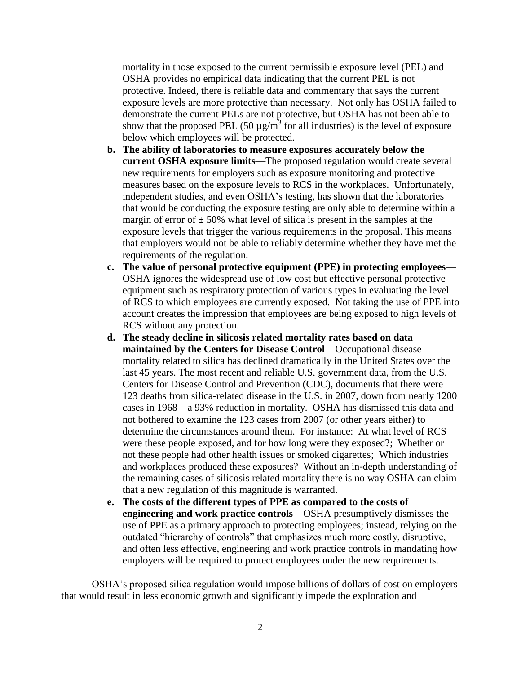mortality in those exposed to the current permissible exposure level (PEL) and OSHA provides no empirical data indicating that the current PEL is not protective. Indeed, there is reliable data and commentary that says the current exposure levels are more protective than necessary. Not only has OSHA failed to demonstrate the current PELs are not protective, but OSHA has not been able to show that the proposed PEL (50  $\mu$ g/m<sup>3</sup> for all industries) is the level of exposure below which employees will be protected.

- **b. The ability of laboratories to measure exposures accurately below the current OSHA exposure limits**—The proposed regulation would create several new requirements for employers such as exposure monitoring and protective measures based on the exposure levels to RCS in the workplaces. Unfortunately, independent studies, and even OSHA's testing, has shown that the laboratories that would be conducting the exposure testing are only able to determine within a margin of error of  $\pm$  50% what level of silica is present in the samples at the exposure levels that trigger the various requirements in the proposal. This means that employers would not be able to reliably determine whether they have met the requirements of the regulation.
- **c. The value of personal protective equipment (PPE) in protecting employees** OSHA ignores the widespread use of low cost but effective personal protective equipment such as respiratory protection of various types in evaluating the level of RCS to which employees are currently exposed. Not taking the use of PPE into account creates the impression that employees are being exposed to high levels of RCS without any protection.
- **d. The steady decline in silicosis related mortality rates based on data maintained by the Centers for Disease Control**—Occupational disease mortality related to silica has declined dramatically in the United States over the last 45 years. The most recent and reliable U.S. government data, from the U.S. Centers for Disease Control and Prevention (CDC), documents that there were 123 deaths from silica-related disease in the U.S. in 2007, down from nearly 1200 cases in 1968—a 93% reduction in mortality. OSHA has dismissed this data and not bothered to examine the 123 cases from 2007 (or other years either) to determine the circumstances around them. For instance: At what level of RCS were these people exposed, and for how long were they exposed?; Whether or not these people had other health issues or smoked cigarettes; Which industries and workplaces produced these exposures? Without an in-depth understanding of the remaining cases of silicosis related mortality there is no way OSHA can claim that a new regulation of this magnitude is warranted.
- **e. The costs of the different types of PPE as compared to the costs of engineering and work practice controls**—OSHA presumptively dismisses the use of PPE as a primary approach to protecting employees; instead, relying on the outdated "hierarchy of controls" that emphasizes much more costly, disruptive, and often less effective, engineering and work practice controls in mandating how employers will be required to protect employees under the new requirements.

OSHA's proposed silica regulation would impose billions of dollars of cost on employers that would result in less economic growth and significantly impede the exploration and